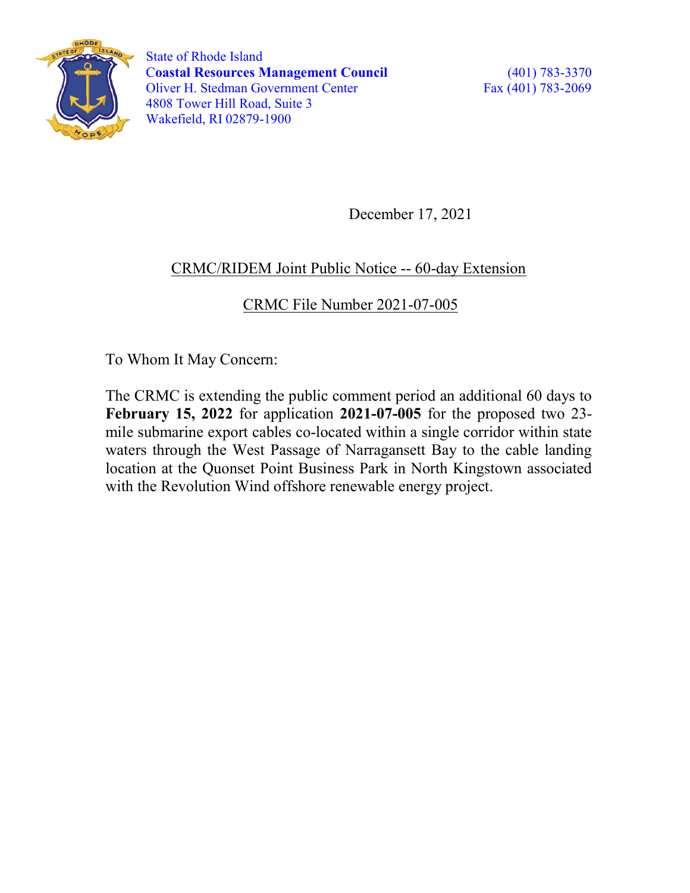

 State of Rhode Island Coastal Resources Management Council (401) 783-3370 Oliver H. Stedman Government Center Fax (401) 783-2069 4808 Tower Hill Road, Suite 3 Wakefield, RI 02879-1900

December 17, 2021

## CRMC/RIDEM Joint Public Notice -- 60-day Extension

CRMC File Number 2021-07-005

To Whom It May Concern:

The CRMC is extending the public comment period an additional 60 days to February 15, 2022 for application 2021-07-005 for the proposed two 23 mile submarine export cables co-located within a single corridor within state waters through the West Passage of Narragansett Bay to the cable landing location at the Quonset Point Business Park in North Kingstown associated with the Revolution Wind offshore renewable energy project.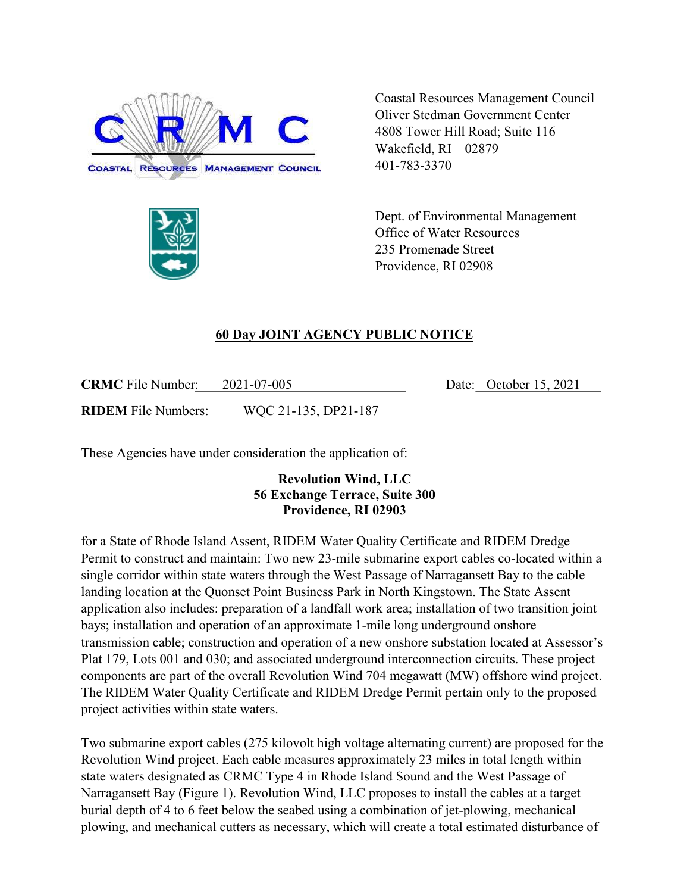



Coastal Resources Management Council Oliver Stedman Government Center 4808 Tower Hill Road; Suite 116 Wakefield, RI 02879 401-783-3370

Dept. of Environmental Management Office of Water Resources 235 Promenade Street Providence, RI 02908

Date: October 15, 2021

## 60 Day JOINT AGENCY PUBLIC NOTICE

| <b>CRMC</b> File Number:   | 2021-07-005          |
|----------------------------|----------------------|
| <b>RIDEM</b> File Numbers: | WOC 21-135, DP21-187 |

These Agencies have under consideration the application of:

## Revolution Wind, LLC 56 Exchange Terrace, Suite 300 Providence, RI 02903

for a State of Rhode Island Assent, RIDEM Water Quality Certificate and RIDEM Dredge Permit to construct and maintain: Two new 23-mile submarine export cables co-located within a single corridor within state waters through the West Passage of Narragansett Bay to the cable landing location at the Quonset Point Business Park in North Kingstown. The State Assent application also includes: preparation of a landfall work area; installation of two transition joint bays; installation and operation of an approximate 1-mile long underground onshore transmission cable; construction and operation of a new onshore substation located at Assessor's Plat 179, Lots 001 and 030; and associated underground interconnection circuits. These project components are part of the overall Revolution Wind 704 megawatt (MW) offshore wind project. The RIDEM Water Quality Certificate and RIDEM Dredge Permit pertain only to the proposed project activities within state waters.

Two submarine export cables (275 kilovolt high voltage alternating current) are proposed for the Revolution Wind project. Each cable measures approximately 23 miles in total length within state waters designated as CRMC Type 4 in Rhode Island Sound and the West Passage of Narragansett Bay (Figure 1). Revolution Wind, LLC proposes to install the cables at a target burial depth of 4 to 6 feet below the seabed using a combination of jet-plowing, mechanical plowing, and mechanical cutters as necessary, which will create a total estimated disturbance of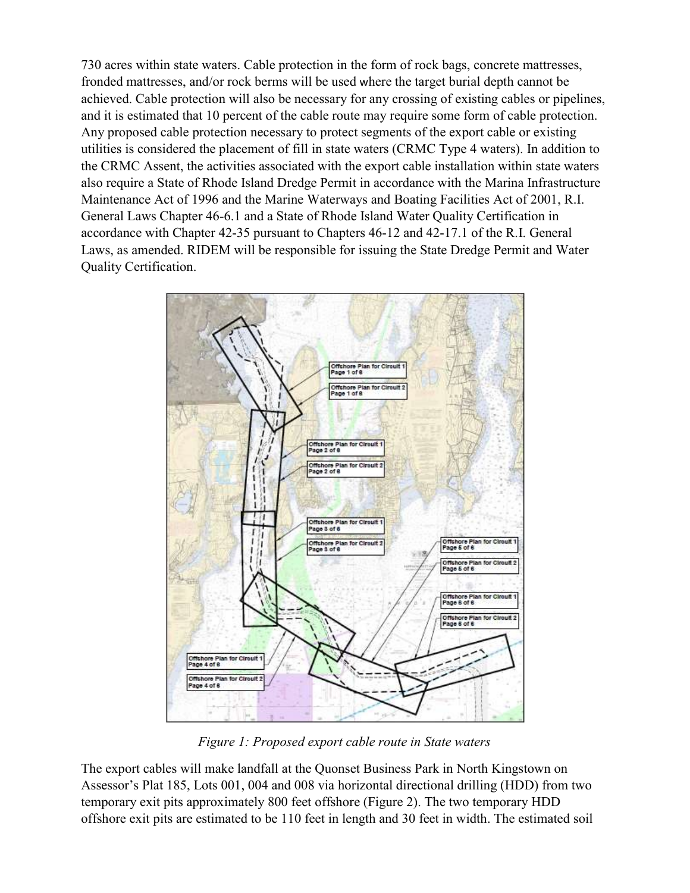730 acres within state waters. Cable protection in the form of rock bags, concrete mattresses, fronded mattresses, and/or rock berms will be used where the target burial depth cannot be achieved. Cable protection will also be necessary for any crossing of existing cables or pipelines, and it is estimated that 10 percent of the cable route may require some form of cable protection. Any proposed cable protection necessary to protect segments of the export cable or existing utilities is considered the placement of fill in state waters (CRMC Type 4 waters). In addition to the CRMC Assent, the activities associated with the export cable installation within state waters also require a State of Rhode Island Dredge Permit in accordance with the Marina Infrastructure Maintenance Act of 1996 and the Marine Waterways and Boating Facilities Act of 2001, R.I. General Laws Chapter 46-6.1 and a State of Rhode Island Water Quality Certification in accordance with Chapter 42-35 pursuant to Chapters 46-12 and 42-17.1 of the R.I. General Laws, as amended. RIDEM will be responsible for issuing the State Dredge Permit and Water Quality Certification.



Figure 1: Proposed export cable route in State waters

The export cables will make landfall at the Quonset Business Park in North Kingstown on Assessor's Plat 185, Lots 001, 004 and 008 via horizontal directional drilling (HDD) from two temporary exit pits approximately 800 feet offshore (Figure 2). The two temporary HDD offshore exit pits are estimated to be 110 feet in length and 30 feet in width. The estimated soil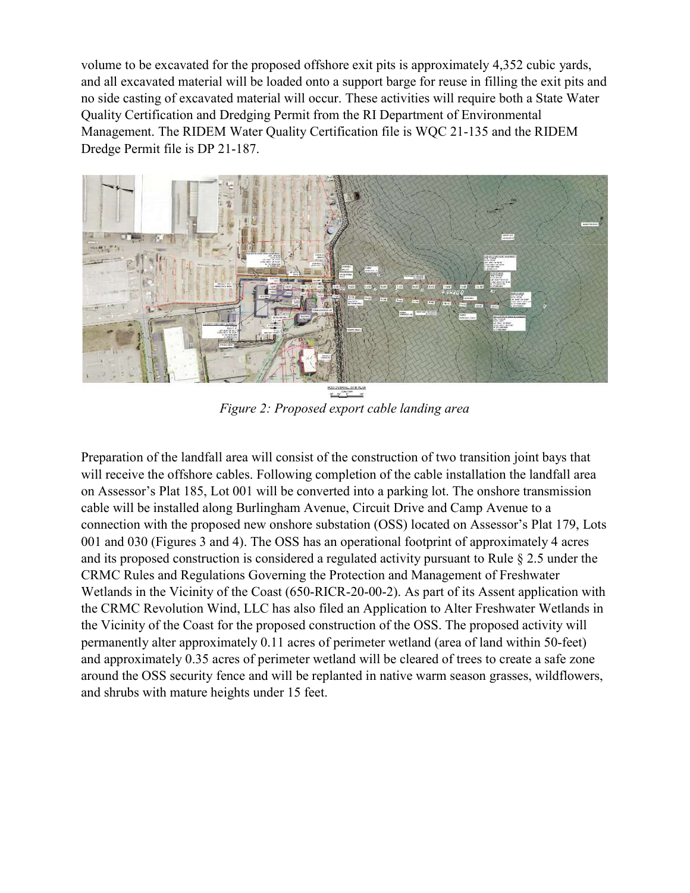volume to be excavated for the proposed offshore exit pits is approximately 4,352 cubic yards, and all excavated material will be loaded onto a support barge for reuse in filling the exit pits and no side casting of excavated material will occur. These activities will require both a State Water Quality Certification and Dredging Permit from the RI Department of Environmental Management. The RIDEM Water Quality Certification file is WQC 21-135 and the RIDEM Dredge Permit file is DP 21-187.



Figure 2: Proposed export cable landing area

Preparation of the landfall area will consist of the construction of two transition joint bays that will receive the offshore cables. Following completion of the cable installation the landfall area on Assessor's Plat 185, Lot 001 will be converted into a parking lot. The onshore transmission cable will be installed along Burlingham Avenue, Circuit Drive and Camp Avenue to a connection with the proposed new onshore substation (OSS) located on Assessor's Plat 179, Lots 001 and 030 (Figures 3 and 4). The OSS has an operational footprint of approximately 4 acres and its proposed construction is considered a regulated activity pursuant to Rule § 2.5 under the CRMC Rules and Regulations Governing the Protection and Management of Freshwater Wetlands in the Vicinity of the Coast (650-RICR-20-00-2). As part of its Assent application with the CRMC Revolution Wind, LLC has also filed an Application to Alter Freshwater Wetlands in the Vicinity of the Coast for the proposed construction of the OSS. The proposed activity will permanently alter approximately 0.11 acres of perimeter wetland (area of land within 50-feet) and approximately 0.35 acres of perimeter wetland will be cleared of trees to create a safe zone around the OSS security fence and will be replanted in native warm season grasses, wildflowers, and shrubs with mature heights under 15 feet.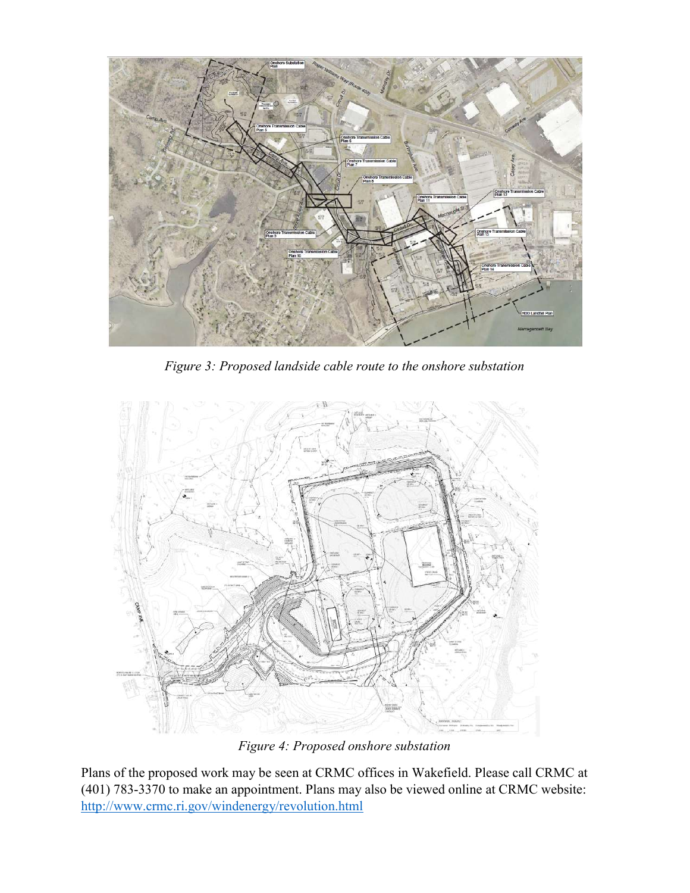

Figure 3: Proposed landside cable route to the onshore substation



Figure 4: Proposed onshore substation

Plans of the proposed work may be seen at CRMC offices in Wakefield. Please call CRMC at (401) 783-3370 to make an appointment. Plans may also be viewed online at CRMC website: http://www.crmc.ri.gov/windenergy/revolution.html